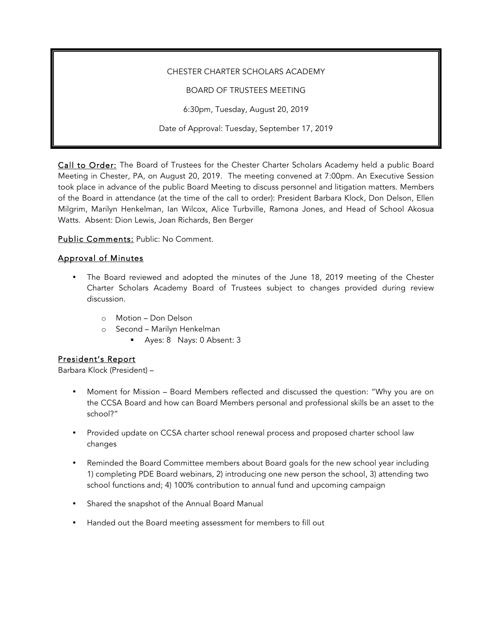#### CHESTER CHARTER SCHOLARS ACADEMY

BOARD OF TRUSTEES MEETING

6:30pm, Tuesday, August 20, 2019

Date of Approval: Tuesday, September 17, 2019

Call to Order: The Board of Trustees for the Chester Charter Scholars Academy held a public Board Meeting in Chester, PA, on August 20, 2019. The meeting convened at 7:00pm. An Executive Session took place in advance of the public Board Meeting to discuss personnel and litigation matters. Members of the Board in attendance (at the time of the call to order): President Barbara Klock, Don Delson, Ellen Milgrim, Marilyn Henkelman, Ian Wilcox, Alice Turbville, Ramona Jones, and Head of School Akosua Watts. Absent: Dion Lewis, Joan Richards, Ben Berger

Public Comments: Public: No Comment.

### Approval of Minutes

- The Board reviewed and adopted the minutes of the June 18, 2019 meeting of the Chester Charter Scholars Academy Board of Trustees subject to changes provided during review discussion.
	- o Motion Don Delson
	- o Second Marilyn Henkelman
		- § Ayes: 8 Nays: 0 Absent: 3

#### President's Report

Barbara Klock (President) –

- Moment for Mission Board Members reflected and discussed the question: "Why you are on the CCSA Board and how can Board Members personal and professional skills be an asset to the school?"
- Provided update on CCSA charter school renewal process and proposed charter school law changes
- Reminded the Board Committee members about Board goals for the new school year including 1) completing PDE Board webinars, 2) introducing one new person the school, 3) attending two school functions and; 4) 100% contribution to annual fund and upcoming campaign
- Shared the snapshot of the Annual Board Manual
- Handed out the Board meeting assessment for members to fill out